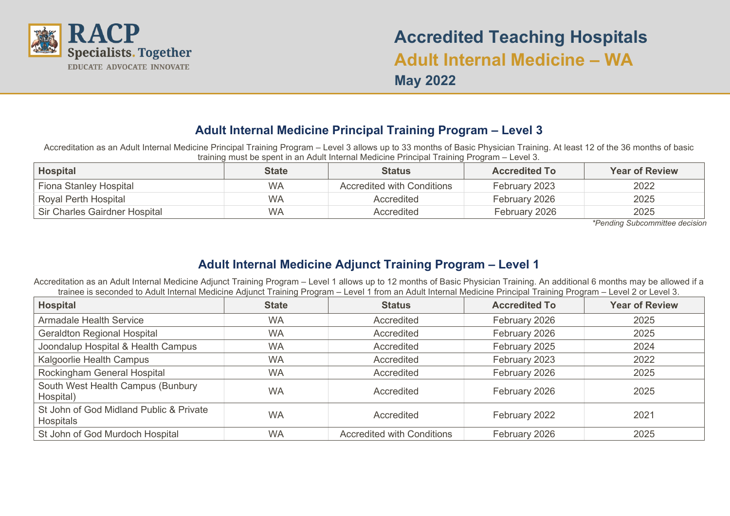

# **Accredited Teaching Hospitals Adult Internal Medicine – WA May 2022**

### **Adult Internal Medicine Principal Training Program – Level 3**

Accreditation as an Adult Internal Medicine Principal Training Program – Level 3 allows up to 33 months of Basic Physician Training. At least 12 of the 36 months of basic training must be spent in an Adult Internal Medicine Principal Training Program – Level 3.

| Hospital                      | <b>State</b> | <b>Status</b><br><b>Accredited To</b> |               | <b>Year of Review</b> |
|-------------------------------|--------------|---------------------------------------|---------------|-----------------------|
| Fiona Stanley Hospital        | <b>WA</b>    | <b>Accredited with Conditions</b>     | February 2023 | 2022                  |
| Royal Perth Hospital          | <b>WA</b>    | Accredited                            | February 2026 | 2025                  |
| Sir Charles Gairdner Hospital | <b>WA</b>    | Accredited                            | February 2026 | 2025                  |

*\*Pending Subcommittee decision*

# **Adult Internal Medicine Adjunct Training Program – Level 1**

Accreditation as an Adult Internal Medicine Adjunct Training Program – Level 1 allows up to 12 months of Basic Physician Training. An additional 6 months may be allowed if a trainee is seconded to Adult Internal Medicine Adjunct Training Program – Level 1 from an Adult Internal Medicine Principal Training Program – Level 2 or Level 3.

| <b>Hospital</b>                                             | <b>State</b> | <b>Status</b>                     | <b>Accredited To</b> | <b>Year of Review</b> |
|-------------------------------------------------------------|--------------|-----------------------------------|----------------------|-----------------------|
| <b>Armadale Health Service</b>                              | <b>WA</b>    | Accredited                        | February 2026        | 2025                  |
| <b>Geraldton Regional Hospital</b>                          | <b>WA</b>    | Accredited                        | February 2026        | 2025                  |
| Joondalup Hospital & Health Campus                          | <b>WA</b>    | Accredited                        | February 2025        | 2024                  |
| Kalgoorlie Health Campus                                    | <b>WA</b>    | Accredited                        | February 2023        | 2022                  |
| Rockingham General Hospital                                 | <b>WA</b>    | Accredited                        | February 2026        | 2025                  |
| South West Health Campus (Bunbury<br>Hospital)              | <b>WA</b>    | Accredited                        | February 2026        | 2025                  |
| St John of God Midland Public & Private<br><b>Hospitals</b> | <b>WA</b>    | Accredited                        | February 2022        | 2021                  |
| St John of God Murdoch Hospital                             | <b>WA</b>    | <b>Accredited with Conditions</b> | February 2026        | 2025                  |